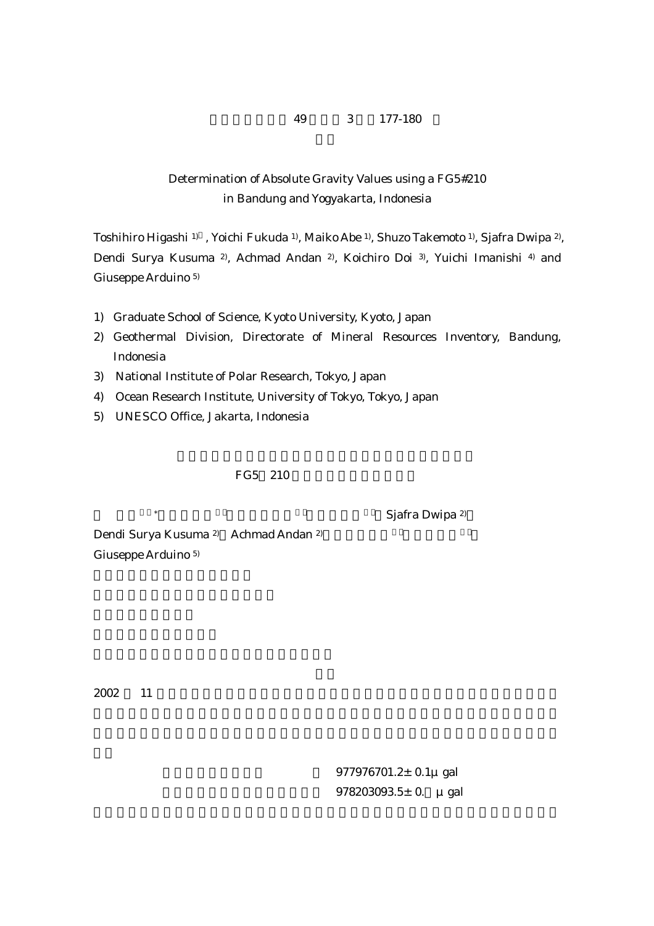## 49  $3$  177-180

## Determination of Absolute Gravity Values using a FG5#210 in Bandung and Yogyakarta, Indonesia

Toshihiro Higashi 1) , Yoichi Fukuda 1), Maiko Abe 1), Shuzo Takemoto 1), Sjafra Dwipa 2), Dendi Surya Kusuma 2), Achmad Andan 2), Koichiro Doi 3), Yuichi Imanishi 4) and Giuseppe Arduino 5)

- 1) Graduate School of Science, Kyoto University, Kyoto, Japan
- 2) Geothermal Division, Directorate of Mineral Resources Inventory, Bandung, Indonesia
- 3) National Institute of Polar Research, Tokyo, Japan
- 4) Ocean Research Institute, University of Tokyo, Tokyo, Japan
- 5) UNESCO Office, Jakarta, Indonesia

## FG5 210

Sjafra Dwipa <sup>2)</sup>

Dendi Surya Kusuma <sup>2)</sup> Achmad Andan <sup>2)</sup> Giuseppe Arduino 5)

 $2002$  11

 $977976701.2±0.1μ gal$  $978203093.5 \pm 0. \mu$  gal